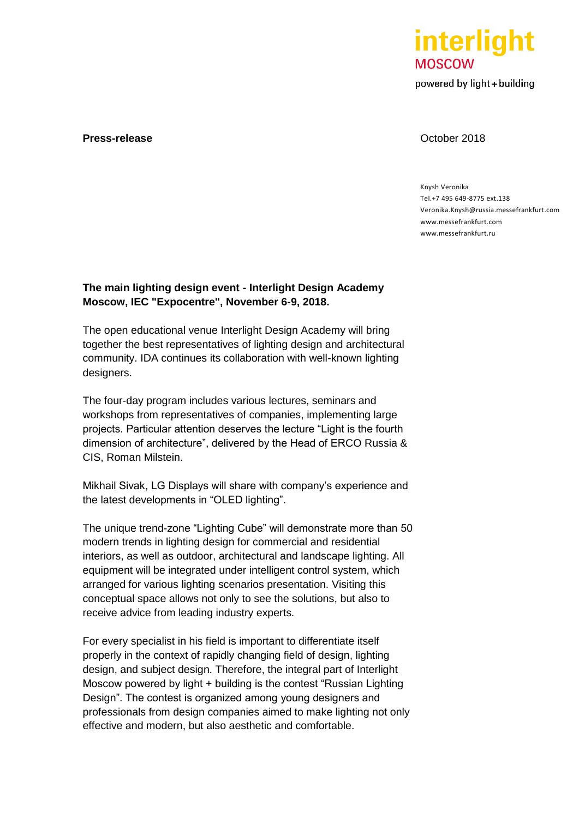

powered by light + building

# **Press-release October 2018**

## Knysh Veronika Tel.+7 495 649-8775 ext.138 Veronika.Knysh@russia.messefrankfurt.com [www.messefrankfurt.com](http://www.messefrankfurt.com/) [www.messefrankfurt.ru](http://www.messefrankfurt.ru/)

# **The main lighting design event - Interlight Design Academy Moscow, IEC "Expocentre", November 6-9, 2018.**

The open educational venue Interlight Design Academy will bring together the best representatives of lighting design and architectural community. IDA continues its collaboration with well-known lighting designers.

The four-day program includes various lectures, seminars and workshops from representatives of companies, implementing large projects. Particular attention deserves the lecture "Light is the fourth dimension of architecture", delivered by the Head of ERCO Russia & CIS, Roman Milstein.

Mikhail Sivak, LG Displays will share with company's experience and the latest developments in "OLED lighting".

The unique trend-zone "Lighting Cube" will demonstrate more than 50 modern trends in lighting design for commercial and residential interiors, as well as outdoor, architectural and landscape lighting. All equipment will be integrated under intelligent control system, which arranged for various lighting scenarios presentation. Visiting this conceptual space allows not only to see the solutions, but also to receive advice from leading industry experts.

For every specialist in his field is important to differentiate itself properly in the context of rapidly changing field of design, lighting design, and subject design. Therefore, the integral part of Interlight Moscow powered by light + building is the contest "Russian Lighting Design". The contest is organized among young designers and professionals from design companies aimed to make lighting not only effective and modern, but also aesthetic and comfortable.